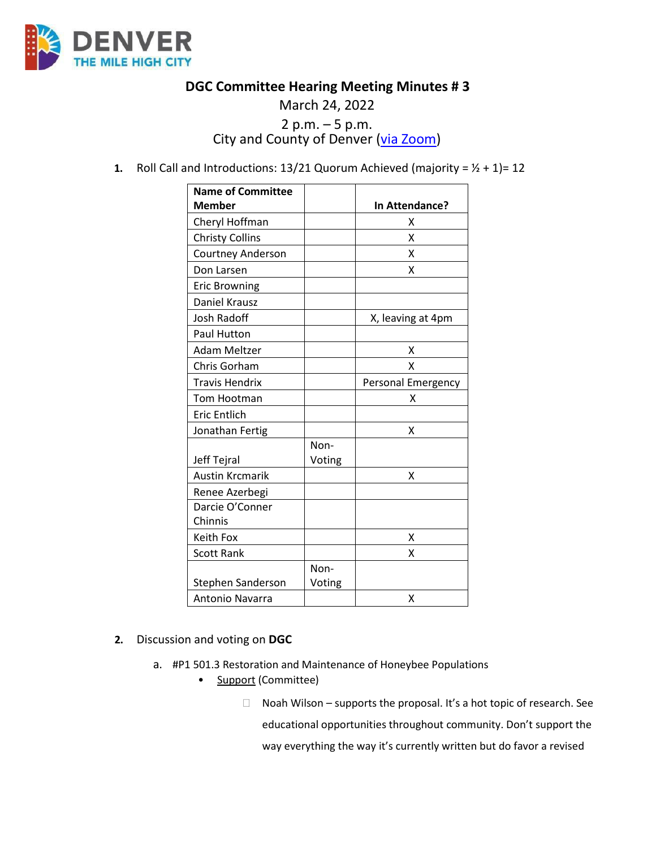

## **DGC Committee Hearing Meeting Minutes # 3**

## March 24, 2022 2 p.m.  $-5$  p.m.<br>City and County of Denver [\(via Zoom\)](https://carrier.zoom.us/webinar/register/WN_pCeas4sATwuPSmruqBkw1Q)

**1.** Roll Call and Introductions:  $13/21$  Quorum Achieved (majority =  $1/2$  + 1)= 12

| <b>Name of Committee</b> |        |                    |
|--------------------------|--------|--------------------|
| <b>Member</b>            |        | In Attendance?     |
| Cheryl Hoffman           |        | x                  |
| <b>Christy Collins</b>   |        | X                  |
| <b>Courtney Anderson</b> |        | x                  |
| Don Larsen               |        | X                  |
| <b>Eric Browning</b>     |        |                    |
| <b>Daniel Krausz</b>     |        |                    |
| <b>Josh Radoff</b>       |        | X, leaving at 4pm  |
| Paul Hutton              |        |                    |
| Adam Meltzer             |        | x                  |
| Chris Gorham             |        | X                  |
| Travis Hendrix           |        | Personal Emergency |
| Tom Hootman              |        | x                  |
| <b>Eric Entlich</b>      |        |                    |
| Jonathan Fertig          |        | x                  |
|                          | Non-   |                    |
| Jeff Tejral              | Voting |                    |
| <b>Austin Krcmarik</b>   |        | X                  |
| Renee Azerbegi           |        |                    |
| Darcie O'Conner          |        |                    |
| Chinnis                  |        |                    |
| Keith Fox                |        | х                  |
| <b>Scott Rank</b>        |        | x                  |
|                          | Non-   |                    |
| Stephen Sanderson        | Voting |                    |
| <b>Antonio Navarra</b>   |        | х                  |

- **2.** Discussion and voting on **DGC**
	- a. #P1 501.3 Restoration and Maintenance of Honeybee Populations
		- **Support** (Committee)

 $\Box$  Noah Wilson – supports the proposal. It's a hot topic of research. See educational opportunities throughout community. Don't support the way everything the way it's currently written but do favor a revised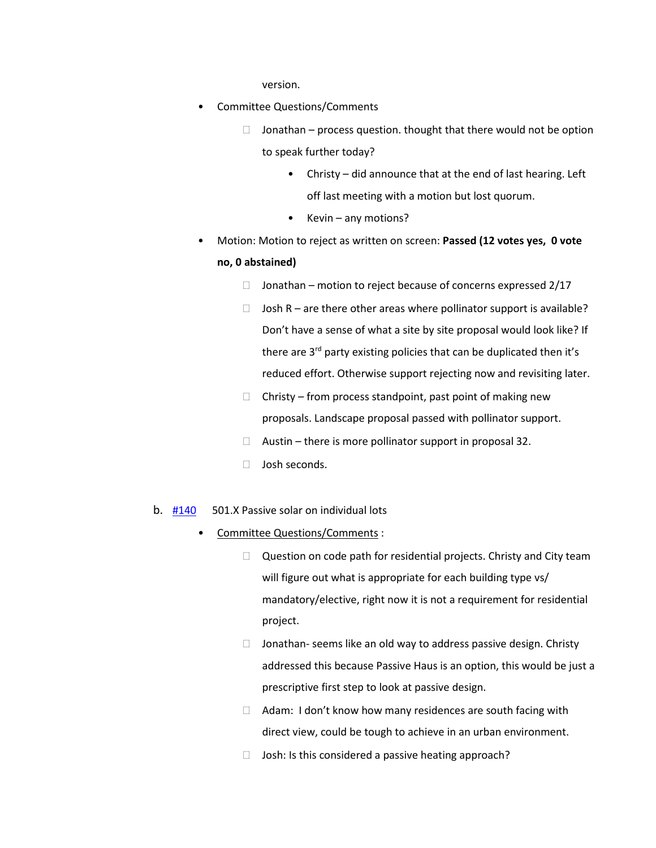version.

- Committee Questions/Comments
	- $\Box$  Jonathan process question. thought that there would not be option to speak further today?
		- Christy did announce that at the end of last hearing. Left off last meeting with a motion but lost quorum.
		- Kevin any motions?
- Motion: Motion to reject as written on screen: **Passed (12 votes yes, 0 vote no, 0 abstained)**
	- $\Box$  Jonathan motion to reject because of concerns expressed 2/17
	- $\Box$  Josh R are there other areas where pollinator support is available? Don't have a sense of what a site by site proposal would look like? If there are 3<sup>rd</sup> party existing policies that can be duplicated then it's reduced effort. Otherwise support rejecting now and revisiting later.
	- $\Box$  Christy from process standpoint, past point of making new proposals. Landscape proposal passed with pollinator support.
	- $\Box$  Austin there is more pollinator support in proposal 32.
	- $\Box$  Josh seconds.
- b. [#140](https://www.denvergov.org/files/assets/public/community-planning-and-development/documents/ds/building-codes/code-adoption/amendment-proposals/dgc/dgc_chapter-5-passive-solar-on-individual-lots.pdf) 501.X Passive solar on individual lots
	- Committee Questions/Comments :
		- $\Box$  Question on code path for residential projects. Christy and City team will figure out what is appropriate for each building type vs/ mandatory/elective, right now it is not a requirement for residential project.
		- $\Box$  Jonathan- seems like an old way to address passive design. Christy addressed this because Passive Haus is an option, this would be just a prescriptive first step to look at passive design.
		- $\Box$  Adam: I don't know how many residences are south facing with direct view, could be tough to achieve in an urban environment.
		- $\Box$  Josh: Is this considered a passive heating approach?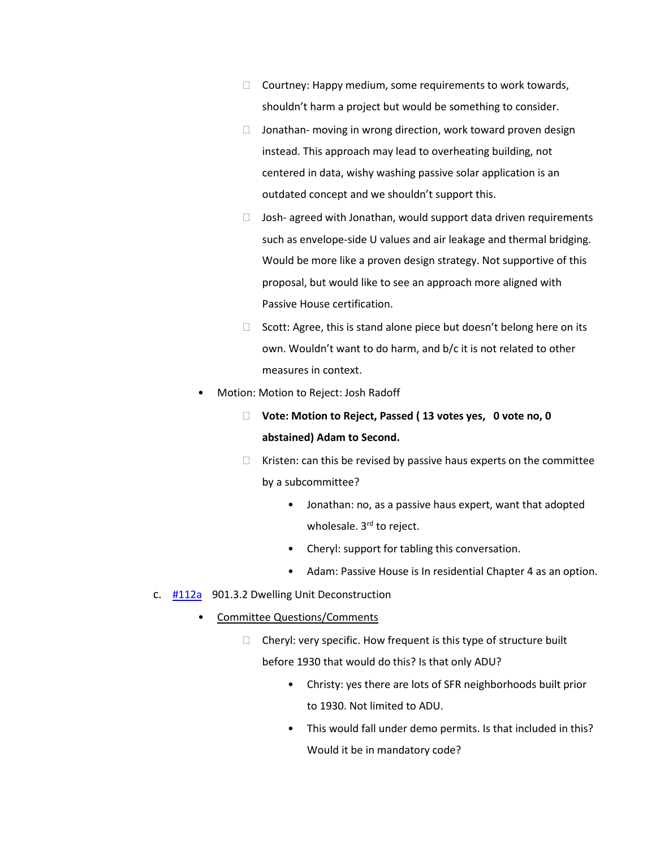- $\Box$  Courtney: Happy medium, some requirements to work towards, shouldn't harm a project but would be something to consider.
- $\Box$  Jonathan- moving in wrong direction, work toward proven design instead. This approach may lead to overheating building, not centered in data, wishy washing passive solar application is an outdated concept and we shouldn't support this.
- $\Box$  Josh- agreed with Jonathan, would support data driven requirements such as envelope-side U values and air leakage and thermal bridging. Would be more like a proven design strategy. Not supportive of this proposal, but would like to see an approach more aligned with Passive House certification.
- $\Box$  Scott: Agree, this is stand alone piece but doesn't belong here on its own. Wouldn't want to do harm, and b/c it is not related to other measures in context.
- Motion: Motion to Reject: Josh Radoff
	- **Vote: Motion to Reject, Passed ( 13 votes yes, 0 vote no, 0 abstained) Adam to Second.**
	- $\Box$  Kristen: can this be revised by passive haus experts on the committee by a subcommittee?
		- Jonathan: no, as a passive haus expert, want that adopted wholesale. 3<sup>rd</sup> to reject.
		- Cheryl: support for tabling this conversation.
		- Adam: Passive House is In residential Chapter 4 as an option.
- c. [#112a](https://www.denvergov.org/files/assets/public/community-planning-and-development/documents/ds/building-codes/code-adoption/amendment-proposals/dgc/112a_dgc_901.3.2-dwelling-unit-deconstruction.pdf) 901.3.2 Dwelling Unit Deconstruction
	- Committee Questions/Comments
		- $\Box$  Cheryl: very specific. How frequent is this type of structure built before 1930 that would do this? Is that only ADU?
			- Christy: yes there are lots of SFR neighborhoods built prior to 1930. Not limited to ADU.
			- This would fall under demo permits. Is that included in this? Would it be in mandatory code?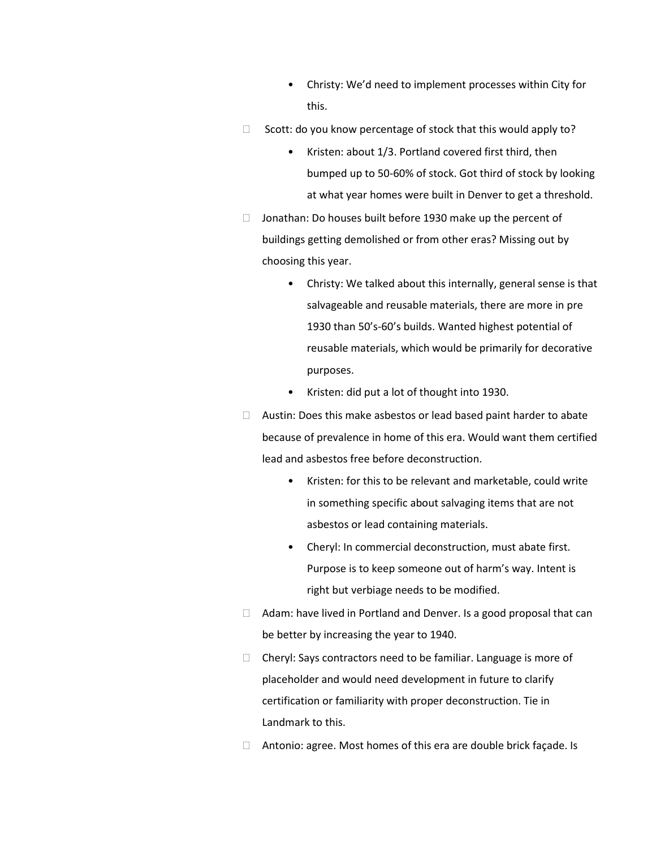- Christy: We'd need to implement processes within City for this.
- $\Box$  Scott: do you know percentage of stock that this would apply to?
	- Kristen: about 1/3. Portland covered first third, then bumped up to 50-60% of stock. Got third of stock by looking at what year homes were built in Denver to get a threshold.
- $\Box$  Jonathan: Do houses built before 1930 make up the percent of buildings getting demolished or from other eras? Missing out by choosing this year.
	- Christy: We talked about this internally, general sense is that salvageable and reusable materials, there are more in pre 1930 than 50's-60's builds. Wanted highest potential of reusable materials, which would be primarily for decorative purposes.
	- Kristen: did put a lot of thought into 1930.
- $\Box$  Austin: Does this make asbestos or lead based paint harder to abate because of prevalence in home of this era. Would want them certified lead and asbestos free before deconstruction.
	- Kristen: for this to be relevant and marketable, could write in something specific about salvaging items that are not asbestos or lead containing materials.
	- Cheryl: In commercial deconstruction, must abate first. Purpose is to keep someone out of harm's way. Intent is right but verbiage needs to be modified.
- $\Box$  Adam: have lived in Portland and Denver. Is a good proposal that can be better by increasing the year to 1940.
- $\Box$  Cheryl: Says contractors need to be familiar. Language is more of placeholder and would need development in future to clarify certification or familiarity with proper deconstruction. Tie in Landmark to this.
- $\Box$  Antonio: agree. Most homes of this era are double brick façade. Is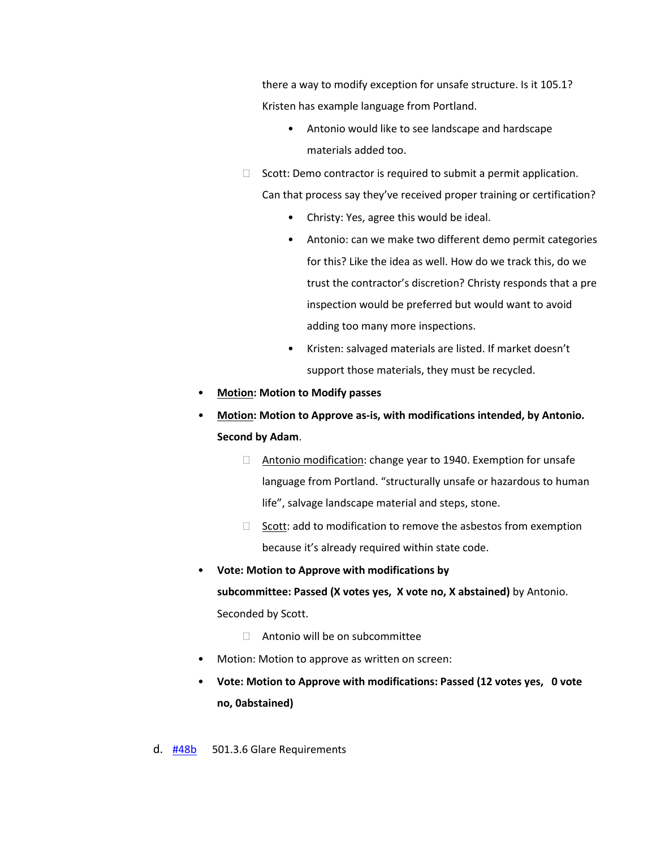there a way to modify exception for unsafe structure. Is it 105.1? Kristen has example language from Portland.

- Antonio would like to see landscape and hardscape materials added too.
- $\Box$  Scott: Demo contractor is required to submit a permit application.

Can that process say they've received proper training or certification?

- Christy: Yes, agree this would be ideal.
- Antonio: can we make two different demo permit categories for this? Like the idea as well. How do we track this, do we trust the contractor's discretion? Christy responds that a pre inspection would be preferred but would want to avoid adding too many more inspections.
- Kristen: salvaged materials are listed. If market doesn't support those materials, they must be recycled.
- **Motion: Motion to Modify passes**
- **Motion: Motion to Approve as-is, with modifications intended, by Antonio. Second by Adam**.
	- □ Antonio modification: change year to 1940. Exemption for unsafe language from Portland. "structurally unsafe or hazardous to human life", salvage landscape material and steps, stone.
	- $\Box$  Scott: add to modification to remove the asbestos from exemption because it's already required within state code.
- **Vote: Motion to Approve with modifications by**

**subcommittee: Passed (X votes yes, X vote no, X abstained)** by Antonio. Seconded by Scott.

- □ Antonio will be on subcommittee
- Motion: Motion to approve as written on screen:
- **Vote: Motion to Approve with modifications: Passed (12 votes yes, 0 vote no, 0abstained)**

d. [#48b](https://www.denvergov.org/files/assets/public/community-planning-and-development/documents/ds/building-codes/code-adoption/amendment-proposals/dgc/48b_dgc_5.3.6.2-backlight-and-glare-requirements.pdf) 501.3.6 Glare Requirements